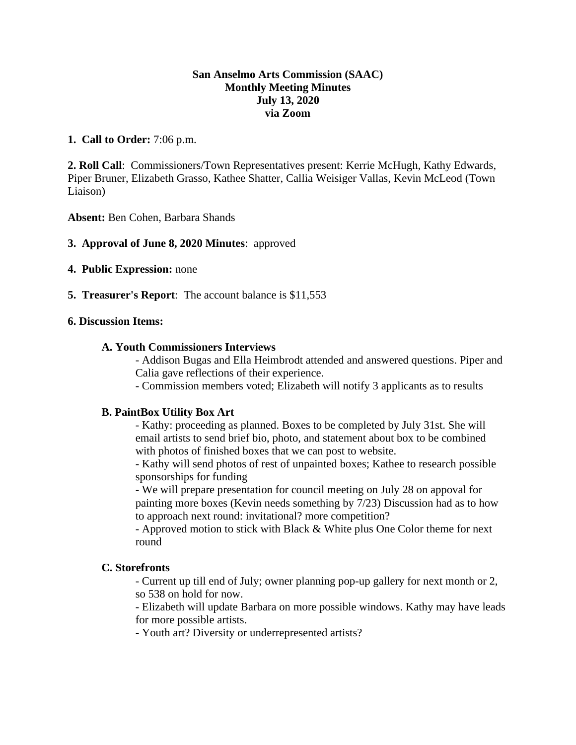## **San Anselmo Arts Commission (SAAC) Monthly Meeting Minutes July 13, 2020 via Zoom**

## **1. Call to Order:** 7:06 p.m.

**2. Roll Call**: Commissioners/Town Representatives present: Kerrie McHugh, Kathy Edwards, Piper Bruner, Elizabeth Grasso, Kathee Shatter, Callia Weisiger Vallas, Kevin McLeod (Town Liaison)

**Absent:** Ben Cohen, Barbara Shands

- **3. Approval of June 8, 2020 Minutes**: approved
- **4. Public Expression:** none
- **5. Treasurer's Report**: The account balance is \$11,553

## **6. Discussion Items:**

## **A. Youth Commissioners Interviews**

- Addison Bugas and Ella Heimbrodt attended and answered questions. Piper and Calia gave reflections of their experience.

- Commission members voted; Elizabeth will notify 3 applicants as to results

### **B. PaintBox Utility Box Art**

- Kathy: proceeding as planned. Boxes to be completed by July 31st. She will email artists to send brief bio, photo, and statement about box to be combined with photos of finished boxes that we can post to website.

- Kathy will send photos of rest of unpainted boxes; Kathee to research possible sponsorships for funding

- We will prepare presentation for council meeting on July 28 on appoval for painting more boxes (Kevin needs something by 7/23) Discussion had as to how to approach next round: invitational? more competition?

- Approved motion to stick with Black & White plus One Color theme for next round

# **C. Storefronts**

- Current up till end of July; owner planning pop-up gallery for next month or 2, so 538 on hold for now.

- Elizabeth will update Barbara on more possible windows. Kathy may have leads for more possible artists.

- Youth art? Diversity or underrepresented artists?